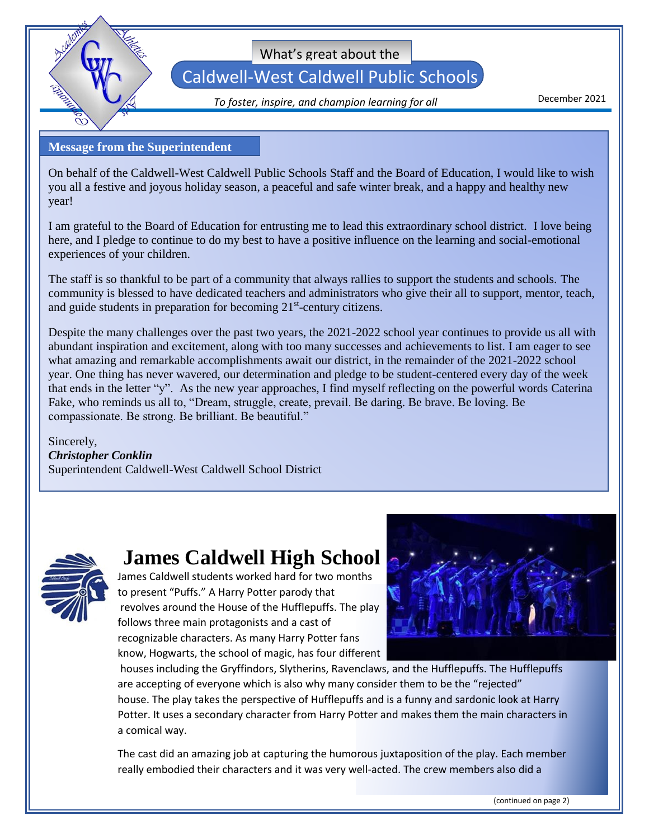

What's great about the

### Caldwell-West Caldwell Public Schools

December 2021 *To foster, inspire, and champion learning for all*

#### **Message from the Superintendent**

On behalf of the Caldwell-West Caldwell Public Schools Staff and the Board of Education, I would like to wish you all a festive and joyous holiday season, a peaceful and safe winter break, and a happy and healthy new year!

I am grateful to the Board of Education for entrusting me to lead this extraordinary school district. I love being here, and I pledge to continue to do my best to have a positive influence on the learning and social-emotional experiences of your children.

The staff is so thankful to be part of a community that always rallies to support the students and schools. The community is blessed to have dedicated teachers and administrators who give their all to support, mentor, teach, and guide students in preparation for becoming  $21<sup>st</sup>$ -century citizens.

Despite the many challenges over the past two years, the 2021-2022 school year continues to provide us all with abundant inspiration and excitement, along with too many successes and achievements to list. I am eager to see what amazing and remarkable accomplishments await our district, in the remainder of the 2021-2022 school year. One thing has never wavered, our determination and pledge to be student-centered every day of the week that ends in the letter "y". As the new year approaches, I find myself reflecting on the powerful words Caterina Fake, who reminds us all to, "Dream, struggle, create, prevail. Be daring. Be brave. Be loving. Be compassionate. Be strong. Be brilliant. Be beautiful."

Sincerely, *Christopher Conklin* Superintendent Caldwell-West Caldwell School District



### **James Caldwell High School**

James Caldwell students worked hard for two months to present "Puffs." A Harry Potter parody that revolves around the House of the Hufflepuffs. The play follows three main protagonists and a cast of recognizable characters. As many Harry Potter fans know, Hogwarts, the school of magic, has four different



houses including the Gryffindors, Slytherins, Ravenclaws, and the Hufflepuffs. The Hufflepuffs are accepting of everyone which is also why many consider them to be the "rejected" house. The play takes the perspective of Hufflepuffs and is a funny and sardonic look at Harry Potter. It uses a secondary character from Harry Potter and makes them the main characters in a comical way.

The cast did an amazing job at capturing the humorous juxtaposition of the play. Each member really embodied their characters and it was very well-acted. The crew members also did a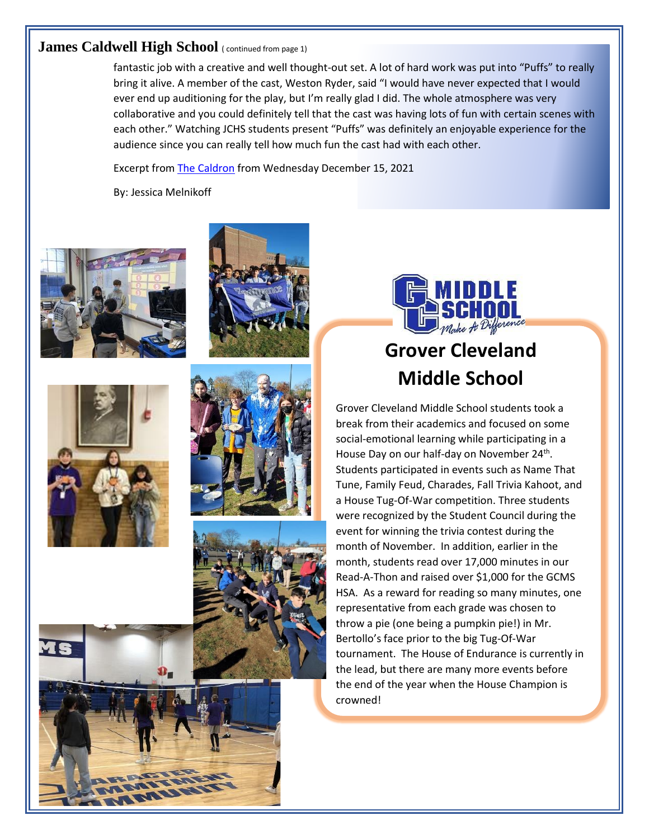#### **James Caldwell High School** ( continued from page 1)

fantastic job with a creative and well thought-out set. A lot of hard work was put into "Puffs" to really bring it alive. A member of the cast, Weston Ryder, said "I would have never expected that I would ever end up auditioning for the play, but I'm really glad I did. The whole atmosphere was very collaborative and you could definitely tell that the cast was having lots of fun with certain scenes with each other." Watching JCHS students present "Puffs" was definitely an enjoyable experience for the audience since you can really tell how much fun the cast had with each other.

Excerpt fro[m The Caldron](https://jchscaldron.com/2021/12/12/puffs-the-harry-potter-parody/) from Wednesday December 15, 2021

By: Jessica Melnikoff













### **Grover Cleveland Middle School**

Grover Cleveland Middle School students took a break from their academics and focused on some social-emotional learning while participating in a House Day on our half-day on November 24<sup>th</sup>. Students participated in events such as Name That Tune, Family Feud, Charades, Fall Trivia Kahoot, and a House Tug-Of-War competition. Three students were recognized by the Student Council during the event for winning the trivia contest during the month of November. In addition, earlier in the month, students read over 17,000 minutes in our Read-A-Thon and raised over \$1,000 for the GCMS HSA. As a reward for reading so many minutes, one representative from each grade was chosen to throw a pie (one being a pumpkin pie!) in Mr. Bertollo's face prior to the big Tug-Of-War tournament. The House of Endurance is currently in the lead, but there are many more events before the end of the year when the House Champion is crowned!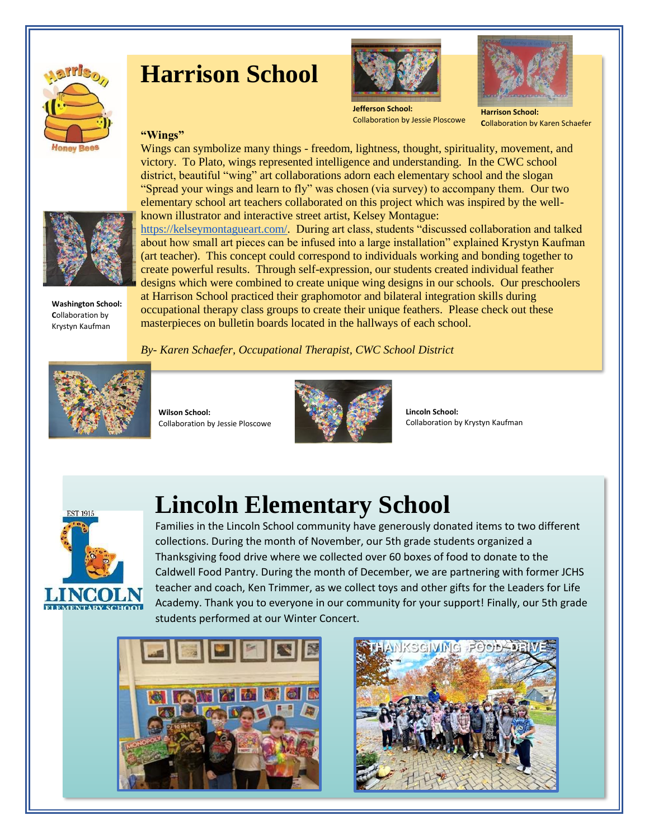

### **Harrison School**



**Jefferson School:**  Collaboration by Jessie Ploscowe

#### **Harrison School: C**ollaboration by Karen Schaefer

#### **"Wings"**



**Washington School: C**ollaboration by Krystyn Kaufman

Wings can symbolize many things - freedom, lightness, thought, spirituality, movement, and victory. To Plato, wings represented intelligence and understanding. In the CWC school district, beautiful "wing" art collaborations adorn each elementary school and the slogan "Spread your wings and learn to fly" was chosen (via survey) to accompany them. Our two elementary school art teachers collaborated on this project which was inspired by the wellknown illustrator and interactive street artist, Kelsey Montague:

[https://kelseymontagueart.com/.](https://kelseymontagueart.com/) During art class, students "discussed collaboration and talked about how small art pieces can be infused into a large installation" explained Krystyn Kaufman (art teacher). This concept could correspond to individuals working and bonding together to create powerful results. Through self-expression, our students created individual feather designs which were combined to create unique wing designs in our schools. Our preschoolers

at Harrison School practiced their graphomotor and bilateral integration skills during occupational therapy class groups to create their unique feathers. Please check out these masterpieces on bulletin boards located in the hallways of each school.

#### *By- Karen Schaefer, Occupational Therapist, CWC School District*



**Wilson School:**  Collaboration by Jessie Ploscowe



**Lincoln School:**  Collaboration by Krystyn Kaufman



### **Lincoln Elementary School**

Families in the Lincoln School community have generously donated items to two different collections. During the month of November, our 5th grade students organized a Thanksgiving food drive where we collected over 60 boxes of food to donate to the Caldwell Food Pantry. During the month of December, we are partnering with former JCHS teacher and coach, Ken Trimmer, as we collect toys and other gifts for the Leaders for Life Academy. Thank you to everyone in our community for your support! Finally, our 5th grade students performed at our Winter Concert.



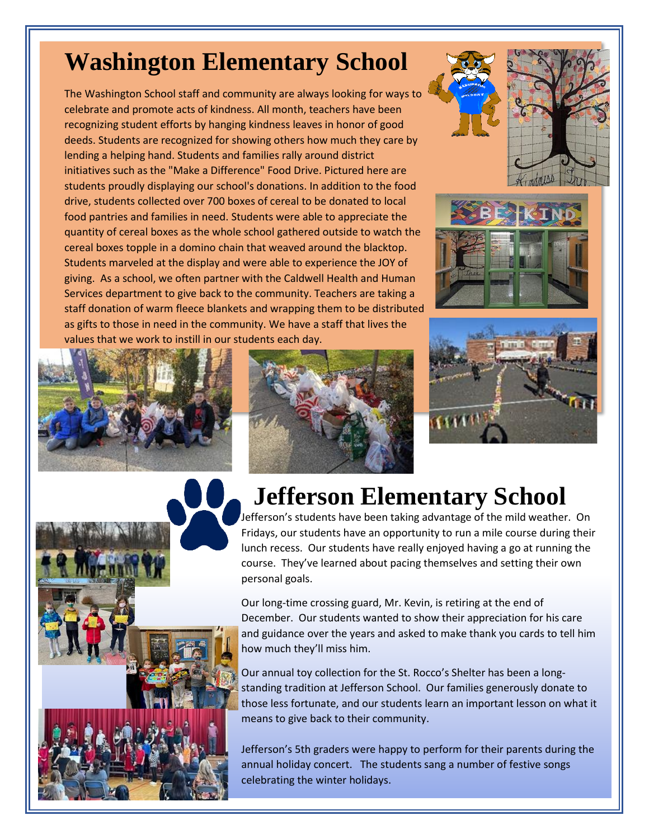## **Washington Elementary School**

The Washington School staff and community are always looking for ways to celebrate and promote acts of kindness. All month, teachers have been recognizing student efforts by hanging kindness leaves in honor of good deeds. Students are recognized for showing others how much they care by lending a helping hand. Students and families rally around district initiatives such as the "Make a Difference" Food Drive. Pictured here are students proudly displaying our school's donations. In addition to the food drive, students collected over 700 boxes of cereal to be donated to local food pantries and families in need. Students were able to appreciate the quantity of cereal boxes as the whole school gathered outside to watch the cereal boxes topple in a domino chain that weaved around the blacktop. Students marveled at the display and were able to experience the JOY of giving. As a school, we often partner with the Caldwell Health and Human Services department to give back to the community. Teachers are taking a staff donation of warm fleece blankets and wrapping them to be distributed as gifts to those in need in the community. We have a staff that lives the values that we work to instill in our students each day.















# **Jefferson Elementary School**

Jefferson's students have been taking advantage of the mild weather. On Fridays, our students have an opportunity to run a mile course during their lunch recess. Our students have really enjoyed having a go at running the course. They've learned about pacing themselves and setting their own personal goals.

Our long-time crossing guard, Mr. Kevin, is retiring at the end of December. Our students wanted to show their appreciation for his care and guidance over the years and asked to make thank you cards to tell him how much they'll miss him.

Our annual toy collection for the St. Rocco's Shelter has been a longstanding tradition at Jefferson School. Our families generously donate to those less fortunate, and our students learn an important lesson on what it means to give back to their community.

Jefferson's 5th graders were happy to perform for their parents during the annual holiday concert. The students sang a number of festive songs celebrating the winter holidays.